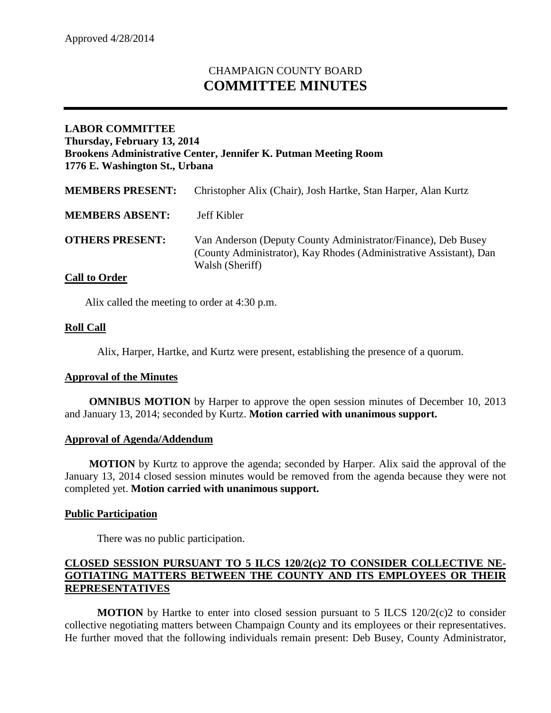# CHAMPAIGN COUNTY BOARD **COMMITTEE MINUTES**

# **LABOR COMMITTEE Thursday, February 13, 2014 Brookens Administrative Center, Jennifer K. Putman Meeting Room 1776 E. Washington St., Urbana**

| <b>MEMBERS PRESENT:</b> | Christopher Alix (Chair), Josh Hartke, Stan Harper, Alan Kurtz                                                                                         |
|-------------------------|--------------------------------------------------------------------------------------------------------------------------------------------------------|
| <b>MEMBERS ABSENT:</b>  | Jeff Kibler                                                                                                                                            |
| <b>OTHERS PRESENT:</b>  | Van Anderson (Deputy County Administrator/Finance), Deb Busey<br>(County Administrator), Kay Rhodes (Administrative Assistant), Dan<br>Walsh (Sheriff) |

# **Call to Order**

Alix called the meeting to order at 4:30 p.m.

## **Roll Call**

Alix, Harper, Hartke, and Kurtz were present, establishing the presence of a quorum.

#### **Approval of the Minutes**

**OMNIBUS MOTION** by Harper to approve the open session minutes of December 10, 2013 and January 13, 2014; seconded by Kurtz. **Motion carried with unanimous support.**

#### **Approval of Agenda/Addendum**

**MOTION** by Kurtz to approve the agenda; seconded by Harper. Alix said the approval of the January 13, 2014 closed session minutes would be removed from the agenda because they were not completed yet. **Motion carried with unanimous support.**

#### **Public Participation**

There was no public participation.

## **CLOSED SESSION PURSUANT TO 5 ILCS 120/2(c)2 TO CONSIDER COLLECTIVE NE-GOTIATING MATTERS BETWEEN THE COUNTY AND ITS EMPLOYEES OR THEIR REPRESENTATIVES**

**MOTION** by Hartke to enter into closed session pursuant to 5 ILCS 120/2(c)2 to consider collective negotiating matters between Champaign County and its employees or their representatives. He further moved that the following individuals remain present: Deb Busey, County Administrator,